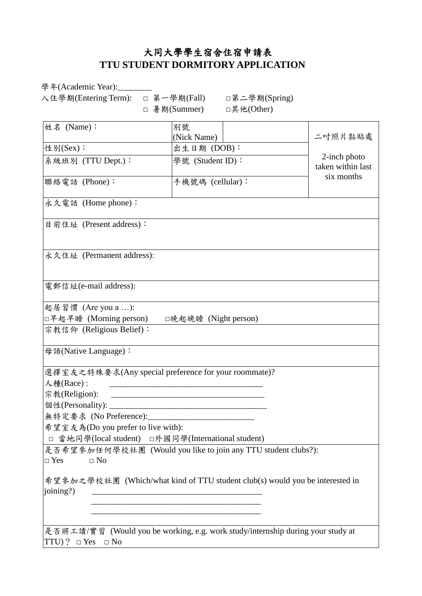## 大同大學學生宿舍住宿申請表 **TTU STUDENT DORMITORY APPLICATION**

學年(Academic Year):

入住學期(Entering Term): □ 第一學期(Fall) □第二學期(Spring)

□ 暑期(Summer) □其他(Other)

| 姓名 (Name):                                                                                                                                                   | 別號<br>(Nick Name)                                                                                                    |  |  | 二吋照片黏貼處                           |
|--------------------------------------------------------------------------------------------------------------------------------------------------------------|----------------------------------------------------------------------------------------------------------------------|--|--|-----------------------------------|
| 性別(Sex):                                                                                                                                                     | 出生日期 (DOB):                                                                                                          |  |  |                                   |
| 系級班別 (TTU Dept.):                                                                                                                                            | 學號 (Student ID):                                                                                                     |  |  | 2-inch photo<br>taken within last |
| 聯絡電話 (Phone):                                                                                                                                                | 手機號碼 (cellular):                                                                                                     |  |  | six months                        |
| 永久電話 (Home phone):                                                                                                                                           |                                                                                                                      |  |  |                                   |
| 目前住址 (Present address):                                                                                                                                      |                                                                                                                      |  |  |                                   |
| 永久住址 (Permanent address):                                                                                                                                    |                                                                                                                      |  |  |                                   |
| 電郵信址(e-mail address):                                                                                                                                        |                                                                                                                      |  |  |                                   |
| 起居習慣 (Are you a ):                                                                                                                                           |                                                                                                                      |  |  |                                   |
| □早起早睡 (Morning person)<br>□晚起晚睡 (Night person)                                                                                                               |                                                                                                                      |  |  |                                   |
| 宗教信仰 (Religious Belief):                                                                                                                                     |                                                                                                                      |  |  |                                   |
| 母語(Native Language):                                                                                                                                         |                                                                                                                      |  |  |                                   |
| 選擇室友之特殊要求(Any special preference for your roommate)?                                                                                                         |                                                                                                                      |  |  |                                   |
| 人種(Race):                                                                                                                                                    | <u> 1989 - Johann John Stein, markin fan it ferstjer fan de ferstjer fan it ferstjer fan it ferstjer fan it fers</u> |  |  |                                   |
| 宗教(Religion):<br><u> 2000 - Jan James James Jan James James James James James James James James James James James James James James</u>                      |                                                                                                                      |  |  |                                   |
|                                                                                                                                                              |                                                                                                                      |  |  |                                   |
| 無特定要求 (No Preference): ______________________________                                                                                                        |                                                                                                                      |  |  |                                   |
| 希望室友為(Do you prefer to live with):                                                                                                                           |                                                                                                                      |  |  |                                   |
| □ 當地同學(local student) □外國同學(International student)                                                                                                           |                                                                                                                      |  |  |                                   |
| 是否希望参加任何學校社團 (Would you like to join any TTU student clubs?):                                                                                                |                                                                                                                      |  |  |                                   |
| $\Box$ Yes<br>$\Box$ No                                                                                                                                      |                                                                                                                      |  |  |                                   |
| 希望参加之學校社團 (Which/what kind of TTU student club(s) would you be interested in<br>(joining?)<br><u> 1980 - Jan Barbara, martin da kasar Amerikaan kasar da</u> |                                                                                                                      |  |  |                                   |
|                                                                                                                                                              |                                                                                                                      |  |  |                                   |
| 是否將工讀/實習 (Would you be working, e.g. work study/internship during your study at                                                                              |                                                                                                                      |  |  |                                   |

TTU)?  $\Box$  Yes  $\Box$  No